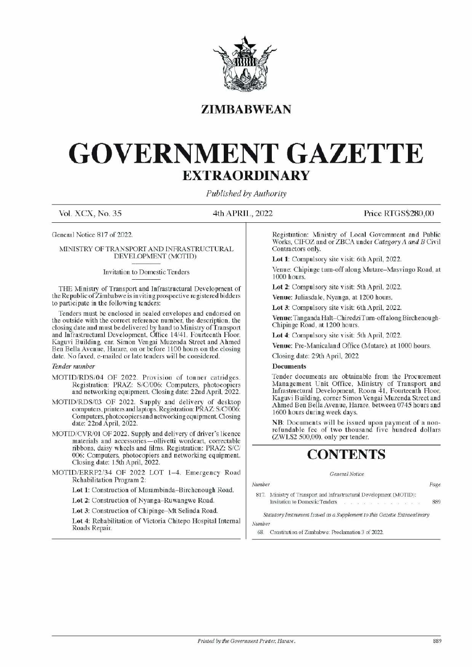

# ZIMBABWEAN

# GOVERNMENT GAZETTE EXTRAORDINARY EXTRAOR EXTRAOR EXTRAOR SOVERNME

Published by Authority

Vol. XCX, No. 35 4th APRIL, 2022 Price RTGS\$280,00

General Notice 817 of 2022.

### MINISTRY OF TRANSPORT AND INFRASTRUCTURAL DEVELOPMENT (MOTID)

### Invitation to Domestic Tenders

THE Ministry of Transport and Infrastructural Development of the Republic of Zimbabwe is inviting prospective registered bidders to participate in the following tenders:

Tenders must be enclosed in sealed envelopes and endorsed on the outside with the correct reference number, the description, the closing date and must be delivered by hand to Ministry of Transport and Infrastructural Development, Office 14/41, Fourteenth Floor, Kaguvi Building, cnr. Simon Vengai Muzenda Street and Ahmed Ben Bella Avenue, Harare, on or before 1100 hours on the closing date. No faxed, e-mailed or late tenders will be considered. **EXTRAO)**<br> **EXTRAO)**<br>
Fublished *i*<br>
Vol. XCX, No. 35<br>
Tublished *i*<br>
General Notice 817 of 2022.<br>
MINISTRY OF TRANSPORT AND INFRASTRUCTURAL<br>
DEVELOPMENT (MOTID)<br>
Invitation to Domestic Tenders<br>
THE Ministy of Transport a MINISTRY OF IRANSFORM AND INVERSALT (MOTIFIX)<br>
IDENT CONTEXT (MOTIFIX)<br>
Invitation to Domestic Tenders<br>
THE Ministry of Transport and Infrastructural Development of<br>
the Republic of Zimbabwe is inviting prospective registe

### Tender number

- MOTID/RDS/04 OF 2022. Provision of tonner catridges. Registration: PRAZ: S/C/006: Computers, photocopiers and networking equipment. Closing date: 22nd April, 2022.
- MOTID/RDS/03 OF 2022. Supply and delivery of desktop computers, printers and laptops. Registration: PRAZ: S/C/006: Computers, photocopiers and networking equipment. Closing date: 22nd April, 2022.
- MOTID/CVR/01 OF 2022. Supply and delivery of driver's licence materials and accessories —ollivetti wordcart, correctable ribbons, daisy wheels and films. Registration: PRAZ: S/C/ 006: Computers, photocopiers and networking equipment. Closing date: 15th April, 2022.
- MOTID/ERRP2/34 OF 2022 LOT 1-4. Emergency Road Rehabilitation Program 2:

Lot 1: Construction of Murambinda—Birchenough Road.

Lot 2: Construction of Nyanga-Ruwangwe Road.

Lot 3: Construction of Chipinge—Mt Selinda Road.

Lot 4: Rehabilitation of Victoria Chitepo Hospital Internal Roads Repair.

Registration: Ministry of Local Government and Public Works, CIFOZ and or ZBCA under Category A and B Civil Contractors only.

Lot 1: Compulsory site visit: 6th April, 2022.

Venue: Chipinge turn-off along Mutare-Masvingo Road, at 1000 hours.

Lot 2: Compulsory site visit: 5th April, 2022.

Venue: Juliasdale, Nyanga, at 1200 hours.

Lot 3: Compulsory site visit: 6th April, 2022.

Venue: Tan ganda Halt—ChiredziTurn-off along Birchenough-Chipinge Road, at 1200 hours.

Lot 4: Compulsory site visit: 5th April, 2022.

Venue: Pre-Manicaland Office (Mutare), at 1000 hours.

Closing date: 29th April, 2022

### **Documents**

Tender documents are obtainable from the Procurement Management Unit Office, Ministry of Transport and Infrastructural Development, Room 41, Fourteenth Floor, Kaguvi Building, corner Simon Vengai Muzenda Street and Ahmed Ben Bella Avenue, Harare, between 0745 hours and 1600 hours during week days. Lot 1: Compulsory site vi<br>
Venue: Chipinge turn-off :<br>
1000 hours.<br>
Lot 2: Compulsory site vi<br>
Venue: Juliasdale, Nyang<br>
Lot 3: Compulsory site vi<br>
Venue: Tanganda Halt-Chi<br>
Chipinge Road, at 1200 h<br>
Lot 4: Compulsory site

NB: Documents will be issued upon payment of a nonrefundable fee of two thousand five hundred dollars (ZWLS2 500,00), only per tender.

# CONTENTS

Number Page

817. Ministry of Transport and Infrastructural Development (MOTID): Invitation to Domestic Tenders 2. 2. 2. 2. 2. 2. 2. 2. 2. 889

General Notice

Statutory Instrument Issued as a Supplement to this Gazette Extraordinary Number

68. Constitution of Zimbabwe: Proclamation 3 of 2022.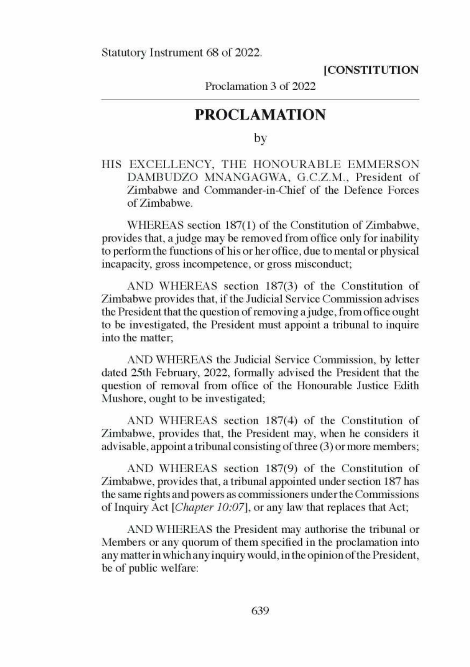### **[CONSTITUTION**

Proclamation 3 of 2022

## PROCLAMATION

by

HIS EXCELLENCY, THE HONOURABLE EMMERSON DAMBUDZO MNANGAGWA, G.C.Z.M., President of Zimbabwe and Commander-in-Chief of the Defence Forces of Zimbabwe.

WHEREAS section 187(1) of the Constitution of Zimbabwe, provides that, a judge may be removed from office only for inability to perform the functions of his or her office, due to mental or physical incapacity, gross incompetence, or gross misconduct;

AND WHEREAS section 187(3) of the Constitution of Zimbabwe provides that, if the Judicial Service Commission advises the President that the question of removing a judge, from office ought to be investigated, the President must appoint a tribunal to inquire into the matter;

AND WHEREAS the Judicial Service Commission, by letter dated 25th February, 2022, formally advised the President that the question of removal from office of the Honourable Justice Edith Mushore, ought to be investigated;

AND WHEREAS section 187(4) of the Constitution of Zimbabwe, provides that, the President may, when he considers it advisable, appoint a tribunal consisting of three (3) or more members;

AND WHEREAS section 187(9) of the Constitution of Zimbabwe, provides that, a tribunal appointed under section 187 has the same rights and powers as commissioners under the Commissions of Inquiry Act [Chapter 10:07], or any law that replaces that Act;

AND WHEREAS the President may authorise the tribunal or Members or any quorum of them specified in the proclamation into any matter in which any inquiry would, in the opinion of the President, be of public welfare: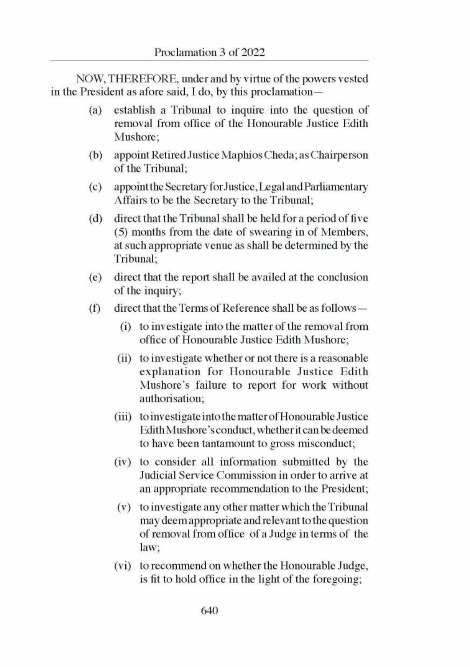NOW, THEREFORE, under and by virtue of the powers vested in the President as afore said, I do, by this proclamation—

- (a) establish a Tribunal to inquire into the question of removal from office of the Honourable Justice Edith Mushore:
- (b) appoint Retired Justice Maphios Cheda; as Chairperson of the Tribunal;
- (©) appoint the Secretary for Justice, Legal and Parliamentary Affairs to be the Secretary to the Tribunal;
- (d) direct that the Tribunal shall be held for a period of five (5) months from the date of swearing in of Members, at such appropriate venue as shall be determined by the Tribunal;
- (e) direct that the report shall be availed at the conclusion of the inquiry;
- $(f)$ direct that the Terms of Reference shall be as follows —
	- (i) toinvestigate into the matter of the removal from office of Honourable Justice Edith Mushore;
	- (i) to investigate whether or not there is a reasonable explanation for Honourable Justice Edith Mushore's failure to report for work without authorisation;
	- (iii) toinvestigate into the matter of Honourable Justice Edith Mushore's conduct, whether it can be deemed to have been tantamount to gross misconduct;
	- (iv) to consider all information submitted by the Judicial Service Commission in order to arrive at an appropriate recommendation to the President;
	- (v) toinvestigate any other matter which the Tribunal may deem appropriate and relevant to the question of removal from office of a Judge in terms of the law;
	- (vi) to recommend on whether the Honourable Judge, is fit to hold office in the light of the foregoing;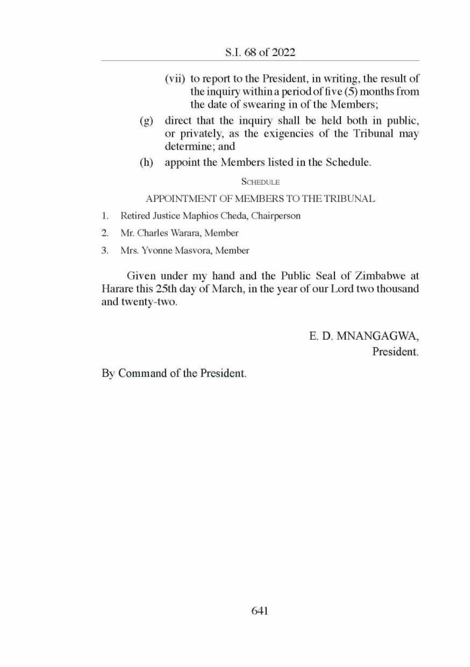- (vii) to report to the President, in writing, the result of the inquiry within a period of five (5) months from the date of swearing in of the Members;
- (g) direct that the inquiry shall be held both in public, or privately, as the exigencies of the Tribunal may determine; and
- (h) appoint the Members listed in the Schedule.

SCHEDULE

APPOINTMENT OF MEMBERS TO THE TRIBUNAL

- 1. Retired Justice Maphios Cheda, Chairperson
- 2. Mr. Charles Warara, Member
- 3. Mrs. Yvonne Masvora, Member

Given under my hand and the Public Seal of Zimbabwe at Harare this 25th day of March, in the year of our Lord two thousand and twenty-two.

> E. D. MNANGAGWA, President.

By Command of the President.